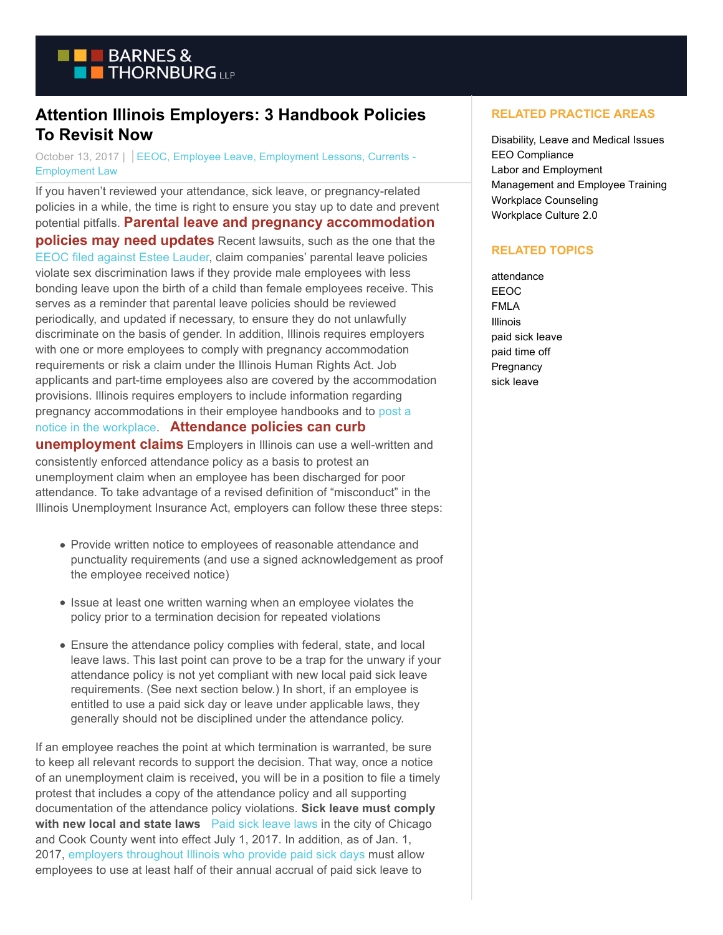

## **Attention Illinois Employers: 3 Handbook Policies To Revisit Now**

October 13, 2017 | EEOC, Employee Leave, Employment Lessons, Currents -Employment Law

If you haven't reviewed your attendance, sick leave, or pregnancy-related policies in a while, the time is right to ensure you stay up to date and prevent potential pitfalls. **Parental leave and pregnancy accommodation policies may need updates** Recent lawsuits, such as the one that the [EEOC filed against Estee Lauder,](https://www.eeoc.gov/eeoc/newsroom/release/8-30-17.cfm) claim companies' parental leave policies violate sex discrimination laws if they provide male employees with less bonding leave upon the birth of a child than female employees receive. This serves as a reminder that parental leave policies should be reviewed periodically, and updated if necessary, to ensure they do not unlawfully discriminate on the basis of gender. In addition, Illinois requires employers with one or more employees to comply with pregnancy accommodation requirements or risk a claim under the Illinois Human Rights Act. Job applicants and part-time employees also are covered by the accommodation provisions. Illinois requires employers to include information regarding pregnancy accommodations in their employee handbooks and to [post a](https://www.illinois.gov/dhr/Publications/Documents/Pregnancy_Fact_Sheet-eng-14.pdf) notice in the workplace. **Attendance policies can curb**

**unemployment claims** Employers in Illinois can use a well-written and consistently enforced attendance policy as a basis to protest an unemployment claim when an employee has been discharged for poor attendance. To take advantage of a revised definition of "misconduct" in the Illinois Unemployment Insurance Act, employers can follow these three steps:

- Provide written notice to employees of reasonable attendance and punctuality requirements (and use a signed acknowledgement as proof the employee received notice)
- Issue at least one written warning when an employee violates the policy prior to a termination decision for repeated violations
- Ensure the attendance policy complies with federal, state, and local leave laws. This last point can prove to be a trap for the unwary if your attendance policy is not yet compliant with new local paid sick leave requirements. (See next section below.) In short, if an employee is entitled to use a paid sick day or leave under applicable laws, they generally should not be disciplined under the attendance policy.

If an employee reaches the point at which termination is warranted, be sure to keep all relevant records to support the decision. That way, once a notice of an unemployment claim is received, you will be in a position to file a timely protest that includes a copy of the attendance policy and all supporting documentation of the attendance policy violations. **Sick leave must comply** with new local and state laws [Paid sick leave laws](https://www.btcurrentsemployment.com/illinois-employers-who-provide-sick-leave-must-allow-workers-to-use-it-for-children-and-family-members/) in the city of Chicago and Cook County went into effect July 1, 2017. In addition, as of Jan. 1, 2017, [employers throughout Illinois who provide paid sick days m](https://www.illinois.gov/idol/FAQs/Pages/Employee-Sick-Leave-Act-FAQs.aspx)ust allow employees to use at least half of their annual accrual of paid sick leave to

## **RELATED PRACTICE AREAS**

Disability, Leave and Medical Issues EEO Compliance Labor and Employment Management and Employee Training Workplace Counseling Workplace Culture 2.0

## **RELATED TOPICS**

attendance EEOC FMLA Illinois paid sick leave paid time off **Pregnancy** sick leave